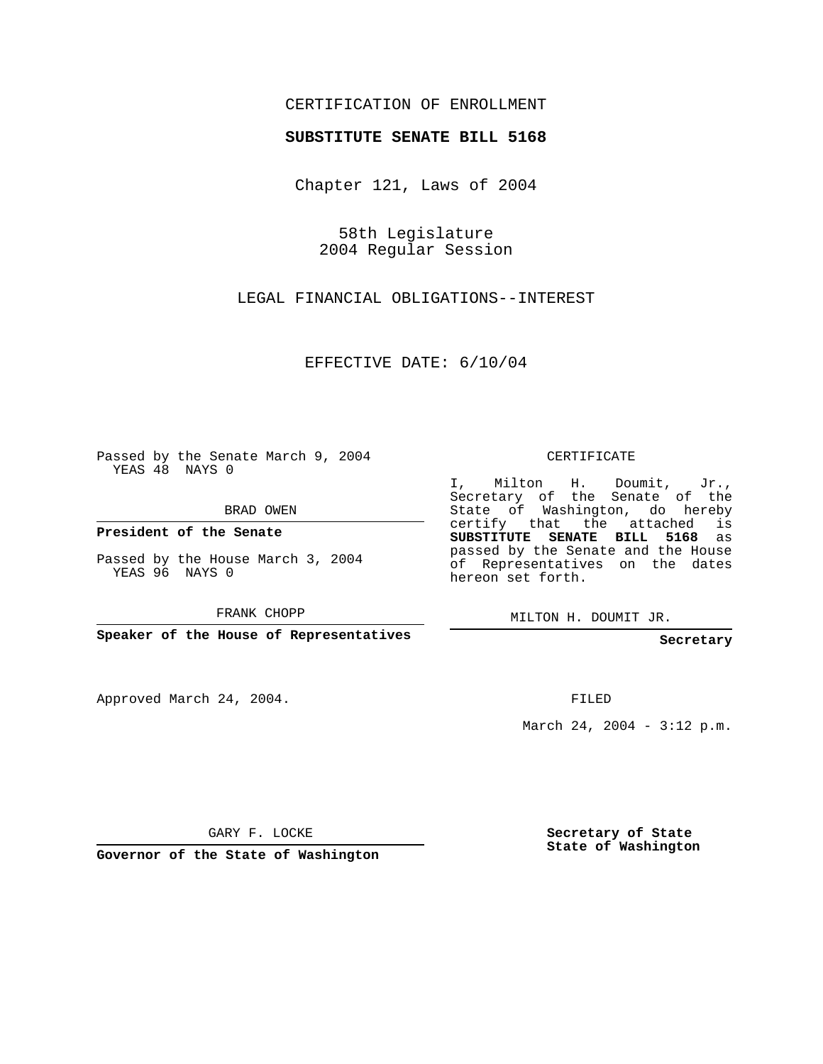## CERTIFICATION OF ENROLLMENT

## **SUBSTITUTE SENATE BILL 5168**

Chapter 121, Laws of 2004

58th Legislature 2004 Regular Session

LEGAL FINANCIAL OBLIGATIONS--INTEREST

EFFECTIVE DATE: 6/10/04

Passed by the Senate March 9, 2004 YEAS 48 NAYS 0

BRAD OWEN

**President of the Senate**

Passed by the House March 3, 2004 YEAS 96 NAYS 0

FRANK CHOPP

**Speaker of the House of Representatives**

Approved March 24, 2004.

CERTIFICATE

I, Milton H. Doumit, Jr., Secretary of the Senate of the State of Washington, do hereby certify that the attached is **SUBSTITUTE SENATE BILL 5168** as passed by the Senate and the House of Representatives on the dates hereon set forth.

MILTON H. DOUMIT JR.

**Secretary**

FILED

March 24, 2004 - 3:12 p.m.

GARY F. LOCKE

**Governor of the State of Washington**

**Secretary of State State of Washington**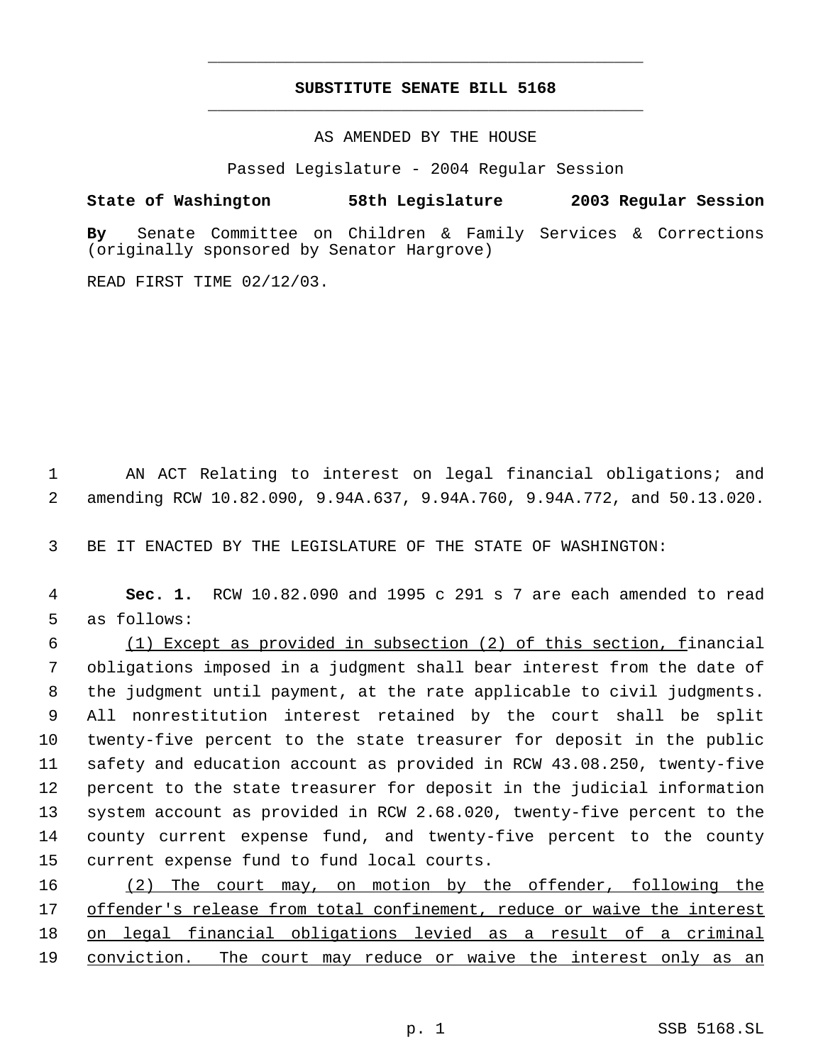## **SUBSTITUTE SENATE BILL 5168** \_\_\_\_\_\_\_\_\_\_\_\_\_\_\_\_\_\_\_\_\_\_\_\_\_\_\_\_\_\_\_\_\_\_\_\_\_\_\_\_\_\_\_\_\_

\_\_\_\_\_\_\_\_\_\_\_\_\_\_\_\_\_\_\_\_\_\_\_\_\_\_\_\_\_\_\_\_\_\_\_\_\_\_\_\_\_\_\_\_\_

AS AMENDED BY THE HOUSE

Passed Legislature - 2004 Regular Session

**State of Washington 58th Legislature 2003 Regular Session**

**By** Senate Committee on Children & Family Services & Corrections (originally sponsored by Senator Hargrove)

READ FIRST TIME 02/12/03.

 AN ACT Relating to interest on legal financial obligations; and amending RCW 10.82.090, 9.94A.637, 9.94A.760, 9.94A.772, and 50.13.020.

BE IT ENACTED BY THE LEGISLATURE OF THE STATE OF WASHINGTON:

 **Sec. 1.** RCW 10.82.090 and 1995 c 291 s 7 are each amended to read as follows:

 (1) Except as provided in subsection (2) of this section, financial obligations imposed in a judgment shall bear interest from the date of the judgment until payment, at the rate applicable to civil judgments. All nonrestitution interest retained by the court shall be split twenty-five percent to the state treasurer for deposit in the public safety and education account as provided in RCW 43.08.250, twenty-five percent to the state treasurer for deposit in the judicial information system account as provided in RCW 2.68.020, twenty-five percent to the county current expense fund, and twenty-five percent to the county current expense fund to fund local courts.

 (2) The court may, on motion by the offender, following the offender's release from total confinement, reduce or waive the interest on legal financial obligations levied as a result of a criminal conviction. The court may reduce or waive the interest only as an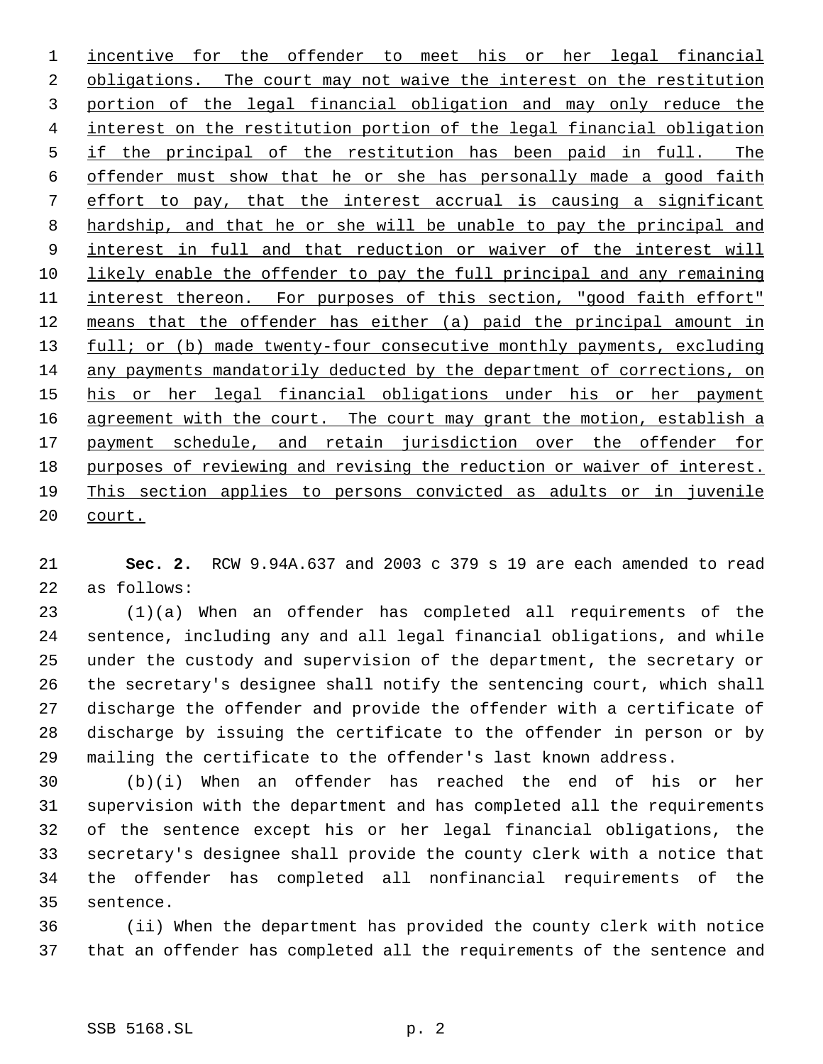incentive for the offender to meet his or her legal financial 2 obligations. The court may not waive the interest on the restitution portion of the legal financial obligation and may only reduce the interest on the restitution portion of the legal financial obligation if the principal of the restitution has been paid in full. The offender must show that he or she has personally made a good faith effort to pay, that the interest accrual is causing a significant hardship, and that he or she will be unable to pay the principal and 9 interest in full and that reduction or waiver of the interest will likely enable the offender to pay the full principal and any remaining 11 interest thereon. For purposes of this section, "good faith effort" means that the offender has either (a) paid the principal amount in 13 full; or (b) made twenty-four consecutive monthly payments, excluding any payments mandatorily deducted by the department of corrections, on his or her legal financial obligations under his or her payment 16 agreement with the court. The court may grant the motion, establish a 17 payment schedule, and retain jurisdiction over the offender for purposes of reviewing and revising the reduction or waiver of interest. This section applies to persons convicted as adults or in juvenile court.

 **Sec. 2.** RCW 9.94A.637 and 2003 c 379 s 19 are each amended to read as follows:

 (1)(a) When an offender has completed all requirements of the sentence, including any and all legal financial obligations, and while under the custody and supervision of the department, the secretary or the secretary's designee shall notify the sentencing court, which shall discharge the offender and provide the offender with a certificate of discharge by issuing the certificate to the offender in person or by mailing the certificate to the offender's last known address.

 (b)(i) When an offender has reached the end of his or her supervision with the department and has completed all the requirements of the sentence except his or her legal financial obligations, the secretary's designee shall provide the county clerk with a notice that the offender has completed all nonfinancial requirements of the sentence.

 (ii) When the department has provided the county clerk with notice that an offender has completed all the requirements of the sentence and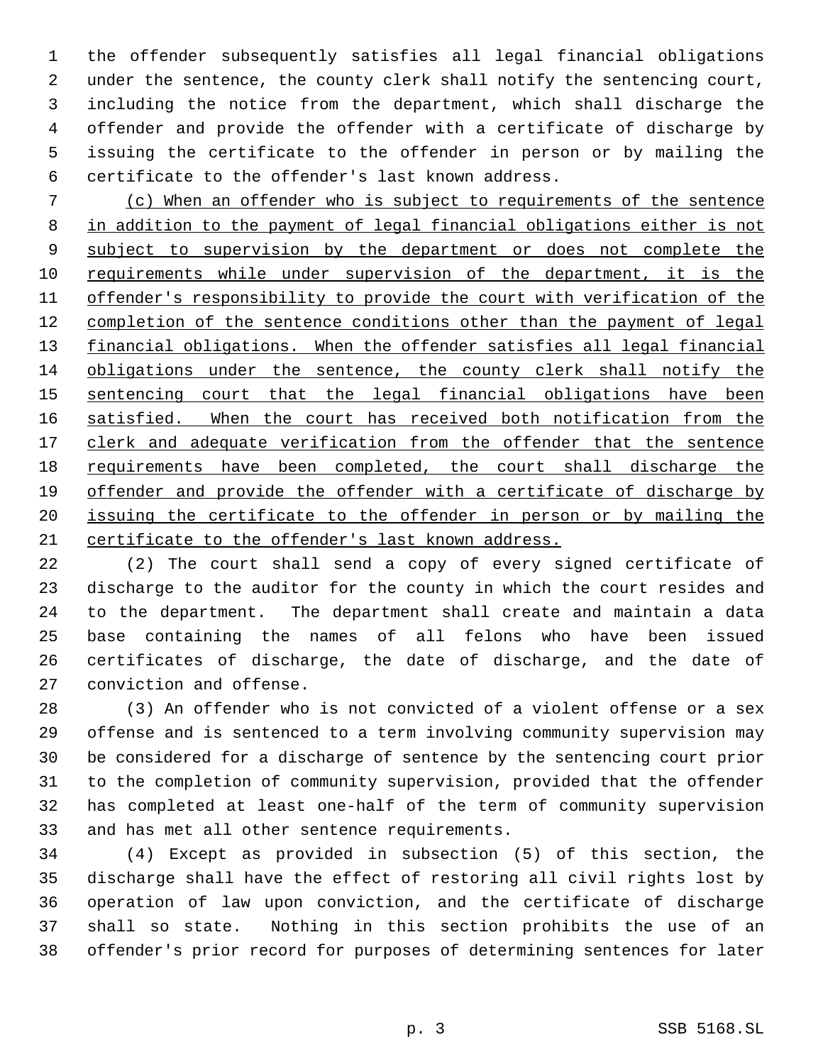the offender subsequently satisfies all legal financial obligations under the sentence, the county clerk shall notify the sentencing court, including the notice from the department, which shall discharge the offender and provide the offender with a certificate of discharge by issuing the certificate to the offender in person or by mailing the certificate to the offender's last known address.

 (c) When an offender who is subject to requirements of the sentence in addition to the payment of legal financial obligations either is not 9 subject to supervision by the department or does not complete the requirements while under supervision of the department, it is the offender's responsibility to provide the court with verification of the 12 completion of the sentence conditions other than the payment of legal financial obligations. When the offender satisfies all legal financial obligations under the sentence, the county clerk shall notify the 15 sentencing court that the legal financial obligations have been 16 satisfied. When the court has received both notification from the 17 clerk and adequate verification from the offender that the sentence 18 requirements have been completed, the court shall discharge the offender and provide the offender with a certificate of discharge by issuing the certificate to the offender in person or by mailing the certificate to the offender's last known address.

 (2) The court shall send a copy of every signed certificate of discharge to the auditor for the county in which the court resides and to the department. The department shall create and maintain a data base containing the names of all felons who have been issued certificates of discharge, the date of discharge, and the date of conviction and offense.

 (3) An offender who is not convicted of a violent offense or a sex offense and is sentenced to a term involving community supervision may be considered for a discharge of sentence by the sentencing court prior to the completion of community supervision, provided that the offender has completed at least one-half of the term of community supervision and has met all other sentence requirements.

 (4) Except as provided in subsection (5) of this section, the discharge shall have the effect of restoring all civil rights lost by operation of law upon conviction, and the certificate of discharge shall so state. Nothing in this section prohibits the use of an offender's prior record for purposes of determining sentences for later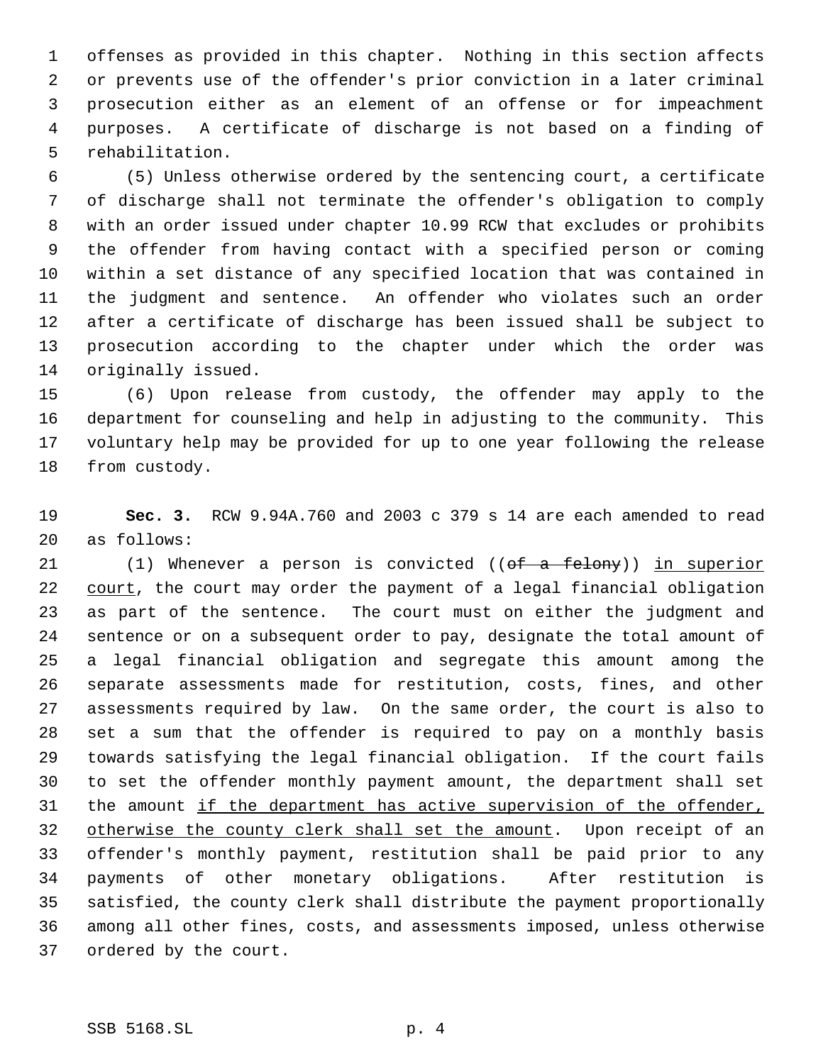offenses as provided in this chapter. Nothing in this section affects or prevents use of the offender's prior conviction in a later criminal prosecution either as an element of an offense or for impeachment purposes. A certificate of discharge is not based on a finding of rehabilitation.

 (5) Unless otherwise ordered by the sentencing court, a certificate of discharge shall not terminate the offender's obligation to comply with an order issued under chapter 10.99 RCW that excludes or prohibits the offender from having contact with a specified person or coming within a set distance of any specified location that was contained in the judgment and sentence. An offender who violates such an order after a certificate of discharge has been issued shall be subject to prosecution according to the chapter under which the order was originally issued.

 (6) Upon release from custody, the offender may apply to the department for counseling and help in adjusting to the community. This voluntary help may be provided for up to one year following the release from custody.

 **Sec. 3.** RCW 9.94A.760 and 2003 c 379 s 14 are each amended to read as follows:

21 (1) Whenever a person is convicted ((of a felony)) in superior 22 court, the court may order the payment of a legal financial obligation as part of the sentence. The court must on either the judgment and sentence or on a subsequent order to pay, designate the total amount of a legal financial obligation and segregate this amount among the separate assessments made for restitution, costs, fines, and other assessments required by law. On the same order, the court is also to set a sum that the offender is required to pay on a monthly basis towards satisfying the legal financial obligation. If the court fails to set the offender monthly payment amount, the department shall set 31 the amount if the department has active supervision of the offender, 32 otherwise the county clerk shall set the amount. Upon receipt of an offender's monthly payment, restitution shall be paid prior to any payments of other monetary obligations. After restitution is satisfied, the county clerk shall distribute the payment proportionally among all other fines, costs, and assessments imposed, unless otherwise ordered by the court.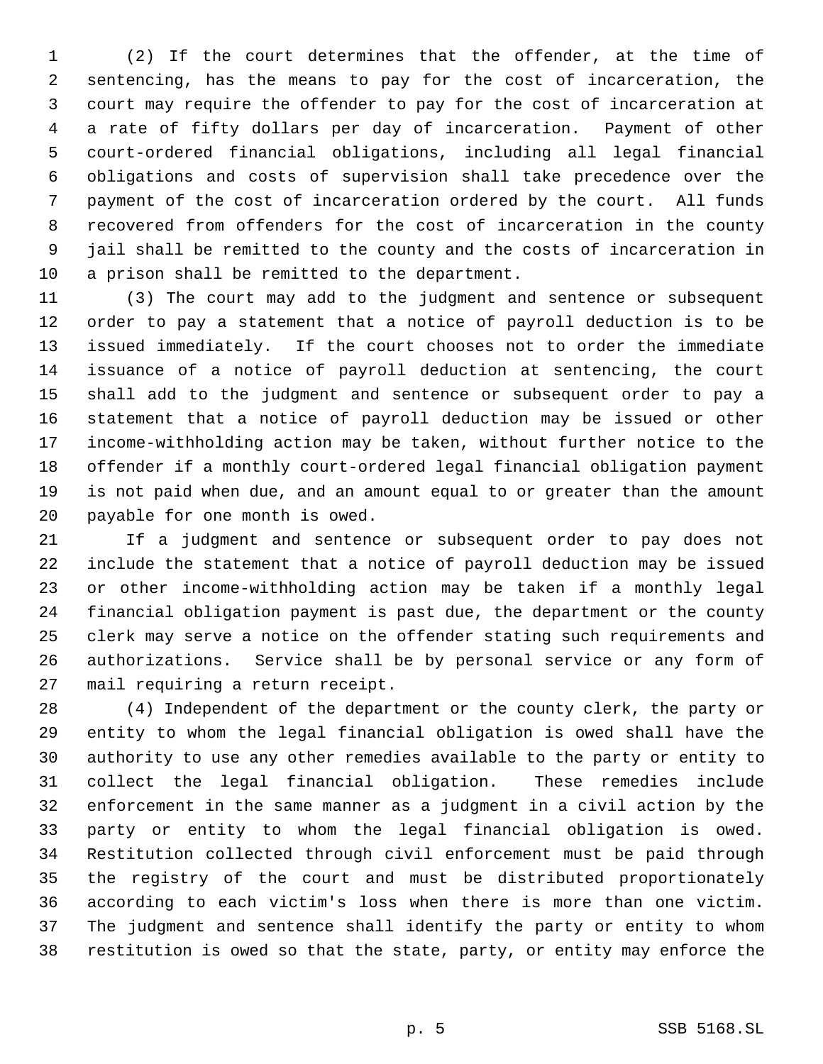(2) If the court determines that the offender, at the time of sentencing, has the means to pay for the cost of incarceration, the court may require the offender to pay for the cost of incarceration at a rate of fifty dollars per day of incarceration. Payment of other court-ordered financial obligations, including all legal financial obligations and costs of supervision shall take precedence over the payment of the cost of incarceration ordered by the court. All funds recovered from offenders for the cost of incarceration in the county jail shall be remitted to the county and the costs of incarceration in a prison shall be remitted to the department.

 (3) The court may add to the judgment and sentence or subsequent order to pay a statement that a notice of payroll deduction is to be issued immediately. If the court chooses not to order the immediate issuance of a notice of payroll deduction at sentencing, the court shall add to the judgment and sentence or subsequent order to pay a statement that a notice of payroll deduction may be issued or other income-withholding action may be taken, without further notice to the offender if a monthly court-ordered legal financial obligation payment is not paid when due, and an amount equal to or greater than the amount payable for one month is owed.

 If a judgment and sentence or subsequent order to pay does not include the statement that a notice of payroll deduction may be issued or other income-withholding action may be taken if a monthly legal financial obligation payment is past due, the department or the county clerk may serve a notice on the offender stating such requirements and authorizations. Service shall be by personal service or any form of mail requiring a return receipt.

 (4) Independent of the department or the county clerk, the party or entity to whom the legal financial obligation is owed shall have the authority to use any other remedies available to the party or entity to collect the legal financial obligation. These remedies include enforcement in the same manner as a judgment in a civil action by the party or entity to whom the legal financial obligation is owed. Restitution collected through civil enforcement must be paid through the registry of the court and must be distributed proportionately according to each victim's loss when there is more than one victim. The judgment and sentence shall identify the party or entity to whom restitution is owed so that the state, party, or entity may enforce the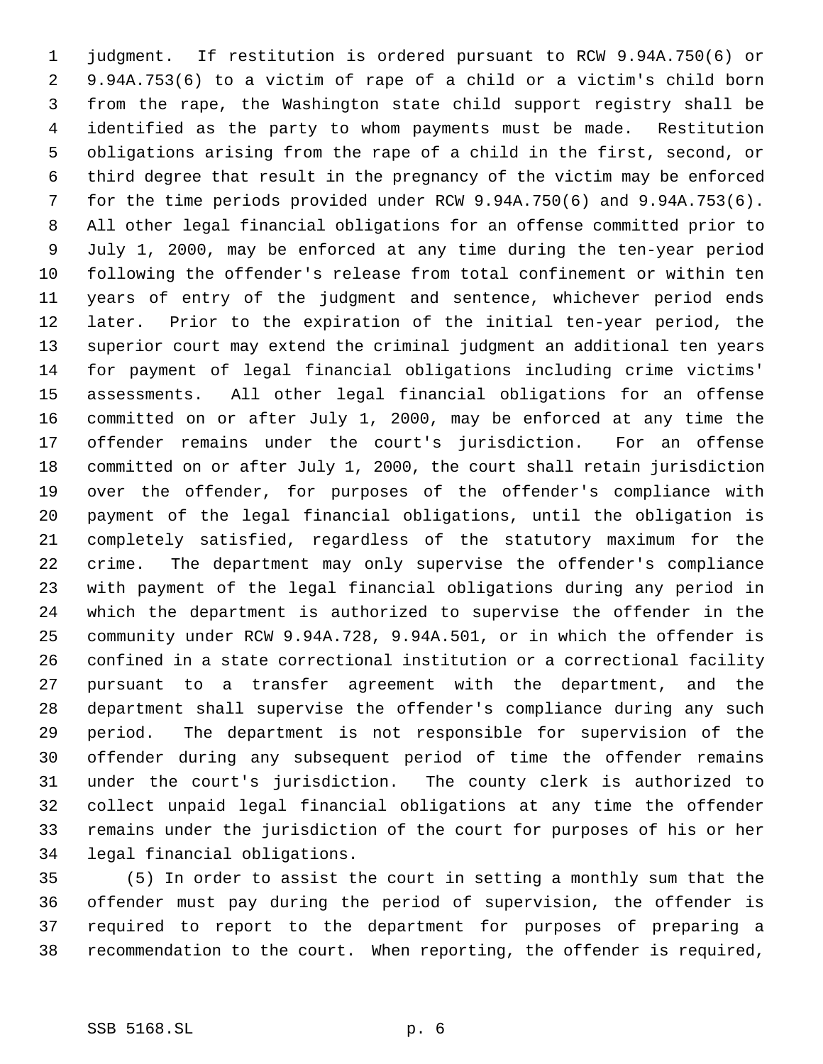judgment. If restitution is ordered pursuant to RCW 9.94A.750(6) or 9.94A.753(6) to a victim of rape of a child or a victim's child born from the rape, the Washington state child support registry shall be identified as the party to whom payments must be made. Restitution obligations arising from the rape of a child in the first, second, or third degree that result in the pregnancy of the victim may be enforced for the time periods provided under RCW 9.94A.750(6) and 9.94A.753(6). All other legal financial obligations for an offense committed prior to July 1, 2000, may be enforced at any time during the ten-year period following the offender's release from total confinement or within ten years of entry of the judgment and sentence, whichever period ends later. Prior to the expiration of the initial ten-year period, the superior court may extend the criminal judgment an additional ten years for payment of legal financial obligations including crime victims' assessments. All other legal financial obligations for an offense committed on or after July 1, 2000, may be enforced at any time the offender remains under the court's jurisdiction. For an offense committed on or after July 1, 2000, the court shall retain jurisdiction over the offender, for purposes of the offender's compliance with payment of the legal financial obligations, until the obligation is completely satisfied, regardless of the statutory maximum for the crime. The department may only supervise the offender's compliance with payment of the legal financial obligations during any period in which the department is authorized to supervise the offender in the community under RCW 9.94A.728, 9.94A.501, or in which the offender is confined in a state correctional institution or a correctional facility pursuant to a transfer agreement with the department, and the department shall supervise the offender's compliance during any such period. The department is not responsible for supervision of the offender during any subsequent period of time the offender remains under the court's jurisdiction. The county clerk is authorized to collect unpaid legal financial obligations at any time the offender remains under the jurisdiction of the court for purposes of his or her legal financial obligations.

 (5) In order to assist the court in setting a monthly sum that the offender must pay during the period of supervision, the offender is required to report to the department for purposes of preparing a recommendation to the court. When reporting, the offender is required,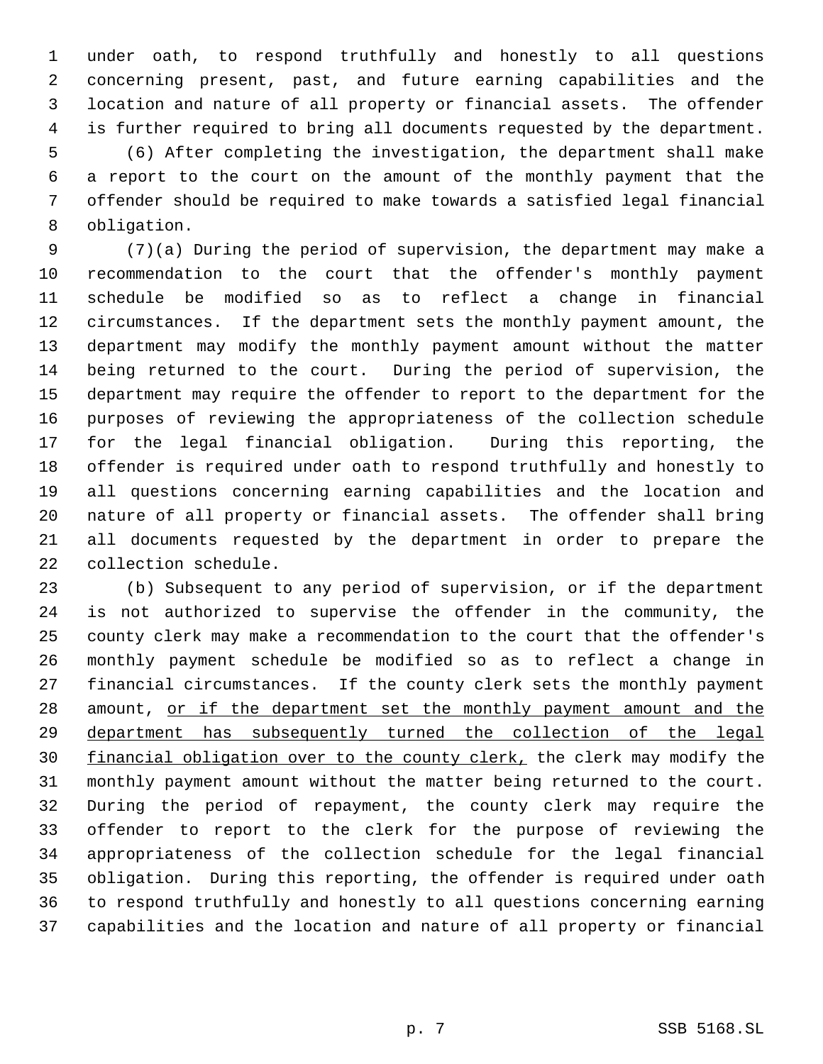under oath, to respond truthfully and honestly to all questions concerning present, past, and future earning capabilities and the location and nature of all property or financial assets. The offender is further required to bring all documents requested by the department. (6) After completing the investigation, the department shall make a report to the court on the amount of the monthly payment that the offender should be required to make towards a satisfied legal financial obligation.

 (7)(a) During the period of supervision, the department may make a recommendation to the court that the offender's monthly payment schedule be modified so as to reflect a change in financial circumstances. If the department sets the monthly payment amount, the department may modify the monthly payment amount without the matter being returned to the court. During the period of supervision, the department may require the offender to report to the department for the purposes of reviewing the appropriateness of the collection schedule for the legal financial obligation. During this reporting, the offender is required under oath to respond truthfully and honestly to all questions concerning earning capabilities and the location and nature of all property or financial assets. The offender shall bring all documents requested by the department in order to prepare the collection schedule.

 (b) Subsequent to any period of supervision, or if the department is not authorized to supervise the offender in the community, the county clerk may make a recommendation to the court that the offender's monthly payment schedule be modified so as to reflect a change in financial circumstances. If the county clerk sets the monthly payment 28 amount, or if the department set the monthly payment amount and the department has subsequently turned the collection of the legal 30 financial obligation over to the county clerk, the clerk may modify the monthly payment amount without the matter being returned to the court. During the period of repayment, the county clerk may require the offender to report to the clerk for the purpose of reviewing the appropriateness of the collection schedule for the legal financial obligation. During this reporting, the offender is required under oath to respond truthfully and honestly to all questions concerning earning capabilities and the location and nature of all property or financial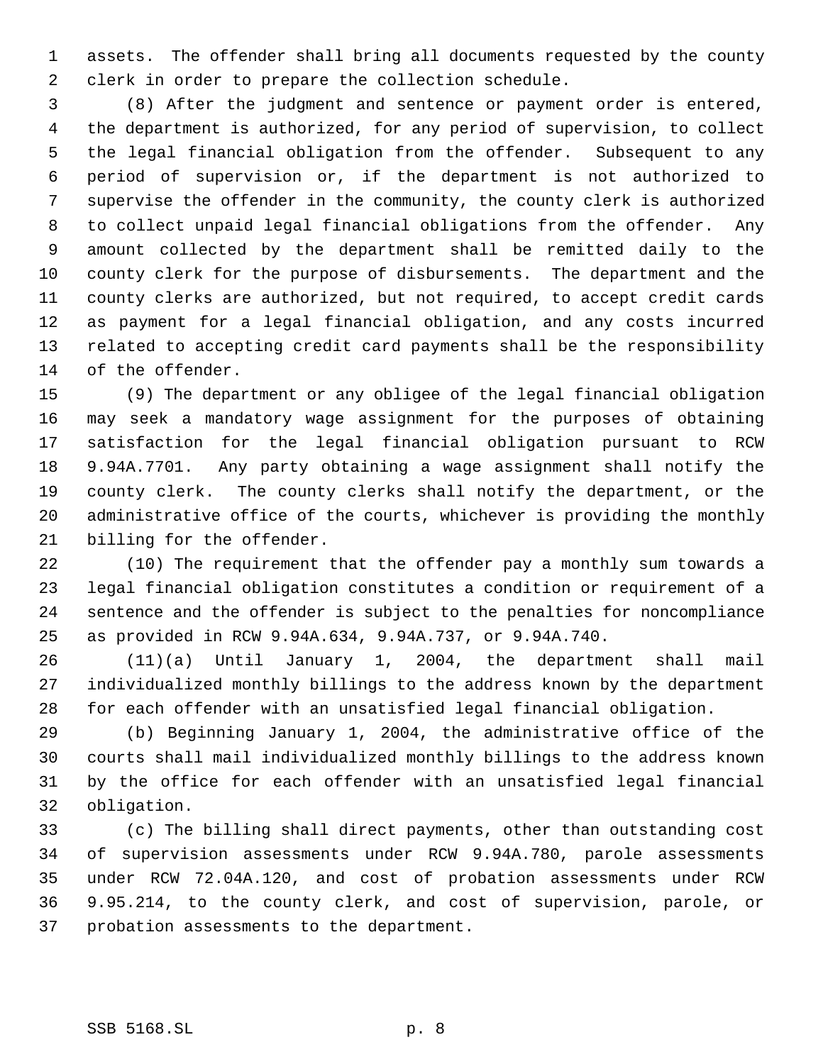assets. The offender shall bring all documents requested by the county clerk in order to prepare the collection schedule.

 (8) After the judgment and sentence or payment order is entered, the department is authorized, for any period of supervision, to collect the legal financial obligation from the offender. Subsequent to any period of supervision or, if the department is not authorized to supervise the offender in the community, the county clerk is authorized to collect unpaid legal financial obligations from the offender. Any amount collected by the department shall be remitted daily to the county clerk for the purpose of disbursements. The department and the county clerks are authorized, but not required, to accept credit cards as payment for a legal financial obligation, and any costs incurred related to accepting credit card payments shall be the responsibility of the offender.

 (9) The department or any obligee of the legal financial obligation may seek a mandatory wage assignment for the purposes of obtaining satisfaction for the legal financial obligation pursuant to RCW 9.94A.7701. Any party obtaining a wage assignment shall notify the county clerk. The county clerks shall notify the department, or the administrative office of the courts, whichever is providing the monthly billing for the offender.

 (10) The requirement that the offender pay a monthly sum towards a legal financial obligation constitutes a condition or requirement of a sentence and the offender is subject to the penalties for noncompliance as provided in RCW 9.94A.634, 9.94A.737, or 9.94A.740.

 (11)(a) Until January 1, 2004, the department shall mail individualized monthly billings to the address known by the department for each offender with an unsatisfied legal financial obligation.

 (b) Beginning January 1, 2004, the administrative office of the courts shall mail individualized monthly billings to the address known by the office for each offender with an unsatisfied legal financial obligation.

 (c) The billing shall direct payments, other than outstanding cost of supervision assessments under RCW 9.94A.780, parole assessments under RCW 72.04A.120, and cost of probation assessments under RCW 9.95.214, to the county clerk, and cost of supervision, parole, or probation assessments to the department.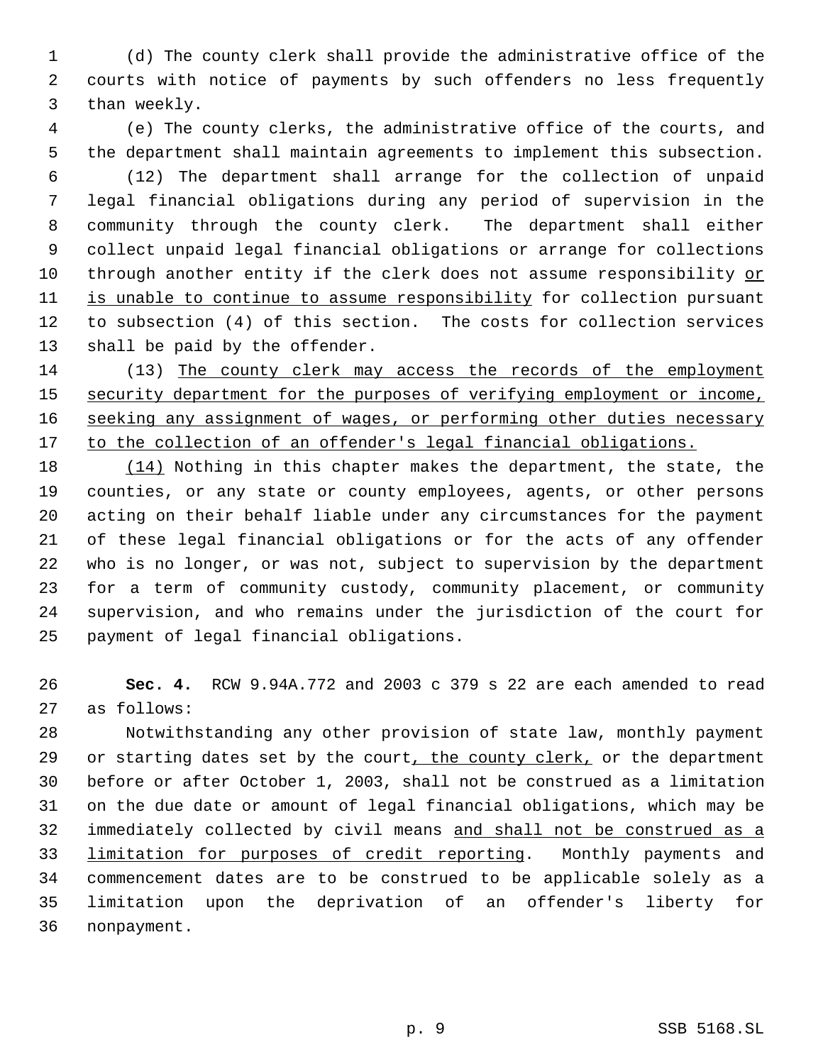(d) The county clerk shall provide the administrative office of the courts with notice of payments by such offenders no less frequently than weekly.

 (e) The county clerks, the administrative office of the courts, and the department shall maintain agreements to implement this subsection. (12) The department shall arrange for the collection of unpaid legal financial obligations during any period of supervision in the community through the county clerk. The department shall either collect unpaid legal financial obligations or arrange for collections through another entity if the clerk does not assume responsibility or is unable to continue to assume responsibility for collection pursuant to subsection (4) of this section. The costs for collection services

shall be paid by the offender.

 (13) The county clerk may access the records of the employment 15 security department for the purposes of verifying employment or income, 16 seeking any assignment of wages, or performing other duties necessary 17 to the collection of an offender's legal financial obligations.

18 (14) Nothing in this chapter makes the department, the state, the counties, or any state or county employees, agents, or other persons acting on their behalf liable under any circumstances for the payment of these legal financial obligations or for the acts of any offender who is no longer, or was not, subject to supervision by the department for a term of community custody, community placement, or community supervision, and who remains under the jurisdiction of the court for payment of legal financial obligations.

 **Sec. 4.** RCW 9.94A.772 and 2003 c 379 s 22 are each amended to read as follows:

 Notwithstanding any other provision of state law, monthly payment 29 or starting dates set by the court, the county clerk, or the department before or after October 1, 2003, shall not be construed as a limitation on the due date or amount of legal financial obligations, which may be immediately collected by civil means and shall not be construed as a 33 limitation for purposes of credit reporting. Monthly payments and commencement dates are to be construed to be applicable solely as a limitation upon the deprivation of an offender's liberty for nonpayment.